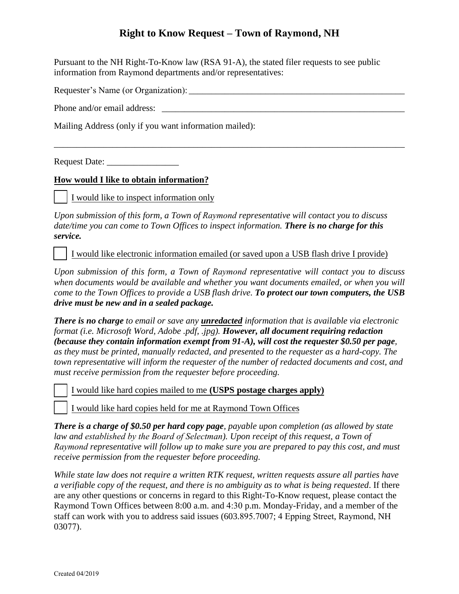## **Right to Know Request – Town of Raymond, NH**

Pursuant to the NH Right-To-Know law (RSA 91-A), the stated filer requests to see public information from Raymond departments and/or representatives:

Requester's Name (or Organization): \_\_\_\_\_\_\_\_\_\_\_\_\_\_\_\_\_\_\_\_\_\_\_\_\_\_\_\_\_\_\_\_\_\_\_\_\_\_\_\_\_\_\_\_\_\_\_\_

Phone and/or email address:

Mailing Address (only if you want information mailed):

Request Date: \_\_\_\_\_\_\_\_\_\_\_\_\_\_\_\_

## **How would I like to obtain information?**

I would like to inspect information only

*Upon submission of this form, a Town of Raymond representative will contact you to discuss date/time you can come to Town Offices to inspect information. There is no charge for this service.*

[ ] I would like electronic information emailed (or saved upon a USB flash drive I provide)

\_\_\_\_\_\_\_\_\_\_\_\_\_\_\_\_\_\_\_\_\_\_\_\_\_\_\_\_\_\_\_\_\_\_\_\_\_\_\_\_\_\_\_\_\_\_\_\_\_\_\_\_\_\_\_\_\_\_\_\_\_\_\_\_\_\_\_\_\_\_\_\_\_\_\_\_\_\_

*Upon submission of this form, a Town of Raymond representative will contact you to discuss when documents would be available and whether you want documents emailed, or when you will come to the Town Offices to provide a USB flash drive. To protect our town computers, the USB drive must be new and in a sealed package.*

*There is no charge to email or save any unredacted information that is available via electronic format (i.e. Microsoft Word, Adobe .pdf, .jpg). However, all document requiring redaction (because they contain information exempt from 91-A), will cost the requester \$0.50 per page, as they must be printed, manually redacted, and presented to the requester as a hard-copy. The town representative will inform the requester of the number of redacted documents and cost, and must receive permission from the requester before proceeding.* 

[ ] I would like hard copies mailed to me **(USPS postage charges apply)**

I would like hard copies held for me at Raymond Town Offices

*There is a charge of \$0.50 per hard copy page, payable upon completion (as allowed by state law and established by the Board of Selectman). Upon receipt of this request, a Town of Raymond representative will follow up to make sure you are prepared to pay this cost, and must receive permission from the requester before proceeding.* 

*While state law does not require a written RTK request, written requests assure all parties have a verifiable copy of the request, and there is no ambiguity as to what is being requested*. If there are any other questions or concerns in regard to this Right-To-Know request, please contact the Raymond Town Offices between 8:00 a.m. and 4:30 p.m. Monday-Friday, and a member of the staff can work with you to address said issues (603.895.7007; 4 Epping Street, Raymond, NH 03077).